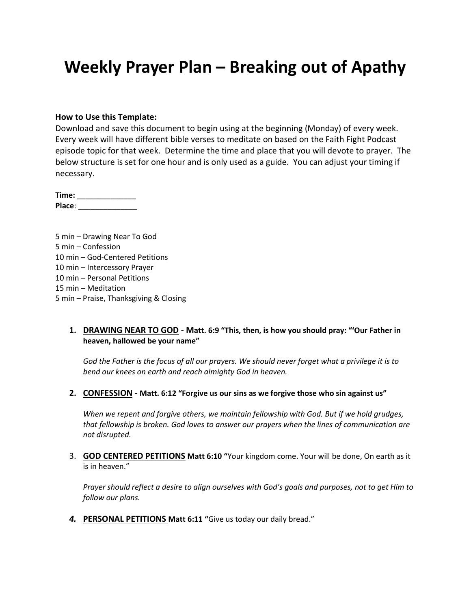# **Weekly Prayer Plan – Breaking out of Apathy**

#### **How to Use this Template:**

Download and save this document to begin using at the beginning (Monday) of every week. Every week will have different bible verses to meditate on based on the Faith Fight Podcast episode topic for that week. Determine the time and place that you will devote to prayer. The below structure is set for one hour and is only used as a guide. You can adjust your timing if necessary.

**Time:** \_\_\_\_\_\_\_\_\_\_\_\_\_\_ **Place**: \_\_\_\_\_\_\_\_\_\_\_\_\_\_

5 min – Drawing Near To God 5 min – Confession 10 min – God-Centered Petitions 10 min – Intercessory Prayer 10 min – Personal Petitions 15 min – Meditation 5 min – Praise, Thanksgiving & Closing

#### **1. DRAWING NEAR TO GOD - Matt. 6:9 "This, then, is how you should pray: "'Our Father in heaven, hallowed be your name"**

*God the Father is the focus of all our prayers. We should never forget what a privilege it is to bend our knees on earth and reach almighty God in heaven.*

**2. CONFESSION - Matt. 6:12 "Forgive us our sins as we forgive those who sin against us"**

*When we repent and forgive others, we maintain fellowship with God. But if we hold grudges, that fellowship is broken. God loves to answer our prayers when the lines of communication are not disrupted.*

3. **GOD CENTERED PETITIONS Matt 6:10 "**Your kingdom come. Your will be done, On earth as it is in heaven."

*Prayer should reflect a desire to align ourselves with God's goals and purposes, not to get Him to follow our plans.*

*4.* **PERSONAL PETITIONS Matt 6:11 "**Give us today our daily bread."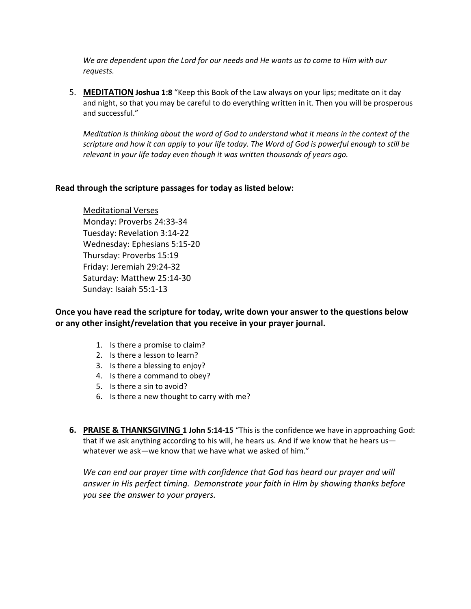*We are dependent upon the Lord for our needs and He wants us to come to Him with our requests.*

5. **MEDITATION Joshua 1:8** "Keep this Book of the Law always on your lips; meditate on it day and night, so that you may be careful to do everything written in it. Then you will be prosperous and successful."

*Meditation is thinking about the word of God to understand what it means in the context of the scripture and how it can apply to your life today. The Word of God is powerful enough to still be relevant in your life today even though it was written thousands of years ago.*

#### **Read through the scripture passages for today as listed below:**

Meditational Verses Monday: Proverbs 24:33-34 Tuesday: Revelation 3:14-22 Wednesday: Ephesians 5:15-20 Thursday: Proverbs 15:19 Friday: Jeremiah 29:24-32 Saturday: Matthew 25:14-30 Sunday: Isaiah 55:1-13

**Once you have read the scripture for today, write down your answer to the questions below or any other insight/revelation that you receive in your prayer journal.** 

- 1. Is there a promise to claim?
- 2. Is there a lesson to learn?
- 3. Is there a blessing to enjoy?
- 4. Is there a command to obey?
- 5. Is there a sin to avoid?
- 6. Is there a new thought to carry with me?
- **6. PRAISE & THANKSGIVING 1 John 5:14-15** "This is the confidence we have in approaching God: that if we ask anything according to his will, he hears us. And if we know that he hears us whatever we ask—we know that we have what we asked of him."

*We can end our prayer time with confidence that God has heard our prayer and will answer in His perfect timing. Demonstrate your faith in Him by showing thanks before you see the answer to your prayers.*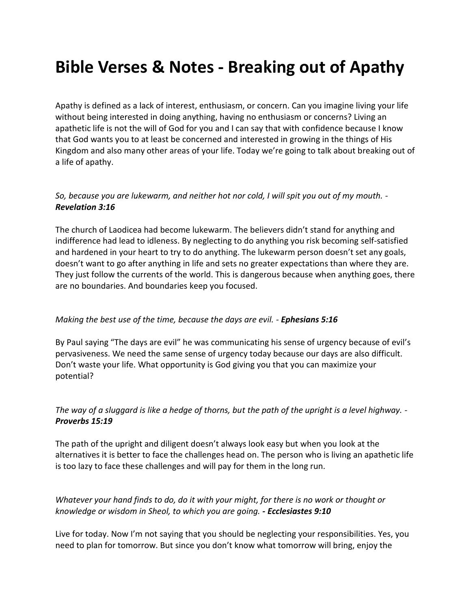# **Bible Verses & Notes - Breaking out of Apathy**

Apathy is defined as a lack of interest, enthusiasm, or concern. Can you imagine living your life without being interested in doing anything, having no enthusiasm or concerns? Living an apathetic life is not the will of God for you and I can say that with confidence because I know that God wants you to at least be concerned and interested in growing in the things of His Kingdom and also many other areas of your life. Today we're going to talk about breaking out of a life of apathy.

#### *So, because you are lukewarm, and neither hot nor cold, I will spit you out of my mouth. - Revelation 3:16*

The church of Laodicea had become lukewarm. The believers didn't stand for anything and indifference had lead to idleness. By neglecting to do anything you risk becoming self-satisfied and hardened in your heart to try to do anything. The lukewarm person doesn't set any goals, doesn't want to go after anything in life and sets no greater expectations than where they are. They just follow the currents of the world. This is dangerous because when anything goes, there are no boundaries. And boundaries keep you focused.

### *Making the best use of the time, because the days are evil. - Ephesians 5:16*

By Paul saying "The days are evil" he was communicating his sense of urgency because of evil's pervasiveness. We need the same sense of urgency today because our days are also difficult. Don't waste your life. What opportunity is God giving you that you can maximize your potential?

## *The way of a sluggard is like a hedge of thorns, but the path of the upright is a level highway. - Proverbs 15:19*

The path of the upright and diligent doesn't always look easy but when you look at the alternatives it is better to face the challenges head on. The person who is living an apathetic life is too lazy to face these challenges and will pay for them in the long run.

## *Whatever your hand finds to do, do it with your might, for there is no work or thought or knowledge or wisdom in Sheol, to which you are going. - Ecclesiastes 9:10*

Live for today. Now I'm not saying that you should be neglecting your responsibilities. Yes, you need to plan for tomorrow. But since you don't know what tomorrow will bring, enjoy the